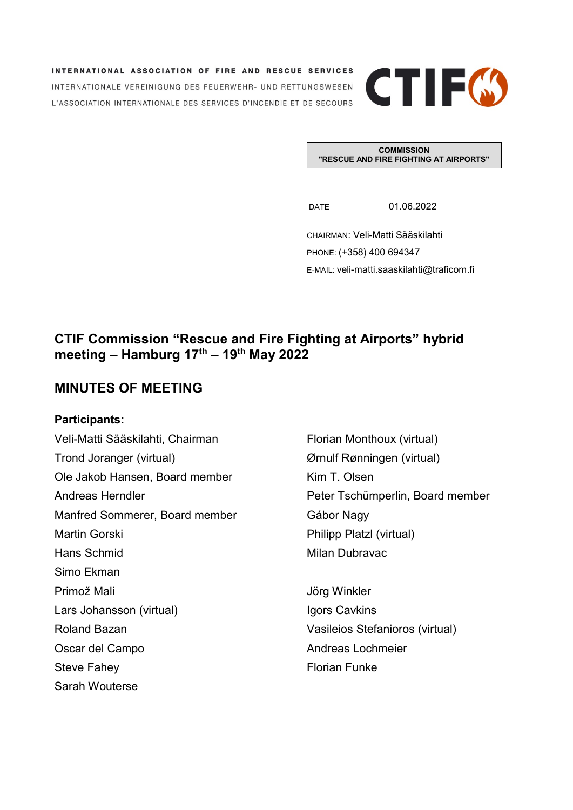INTERNATIONAL ASSOCIATION OF FIRE AND RESCUE SERVICES INTERNATIONALE VEREINIGUNG DES FEUERWEHR- UND RETTUNGSWESEN L'ASSOCIATION INTERNATIONALE DES SERVICES D'INCENDIE ET DE SECOURS



**COMMISSION "RESCUE AND FIRE FIGHTING AT AIRPORTS"**

DATE 01.06.2022

CHAIRMAN: Veli-Matti Sääskilahti PHONE: (+358) 400 694347 E-MAIL: veli-matti.saaskilahti@traficom.fi

# **CTIF Commission "Rescue and Fire Fighting at Airports" hybrid meeting – Hamburg 17th – 19th May 2022**

# **MINUTES OF MEETING**

# **Participants:**

Sarah Wouterse

Veli-Matti Sääskilahti, Chairman Florian Monthoux (virtual) Trond Joranger (virtual) Ørnulf Rønningen (virtual) Ole Jakob Hansen, Board member Kim T. Olsen Andreas Herndler **Peter Tschümperlin, Board member** Manfred Sommerer, Board member Gábor Nagy Martin Gorski **Martin Gorski Philipp Platzl (virtual)** Hans Schmid Milan Dubravac Simo Ekman Primož Mali Jörg Winkler Lars Johansson (virtual) **Igors Cavkins** Roland Bazan Vasileios Stefanioros (virtual) Oscar del Campo **Andreas Lochmeier** Steve Fahey **Florian Funke** Florian Funke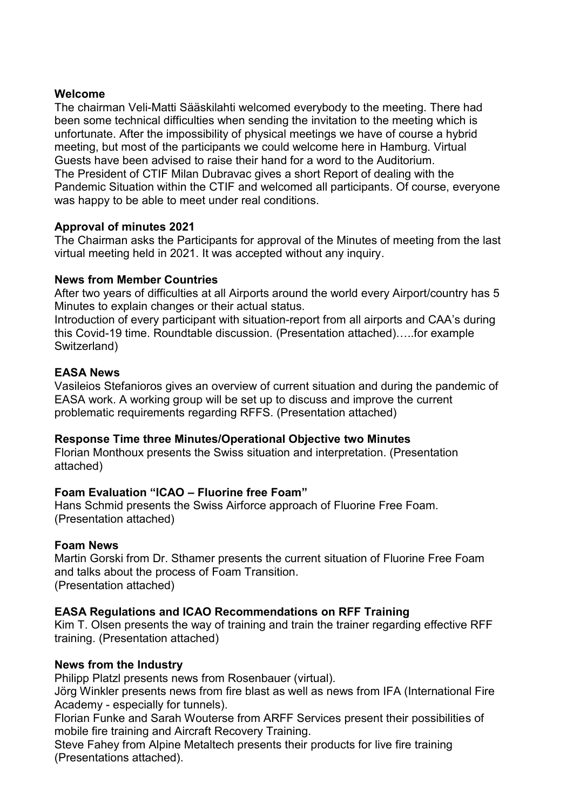## **Welcome**

The chairman Veli-Matti Sääskilahti welcomed everybody to the meeting. There had been some technical difficulties when sending the invitation to the meeting which is unfortunate. After the impossibility of physical meetings we have of course a hybrid meeting, but most of the participants we could welcome here in Hamburg. Virtual Guests have been advised to raise their hand for a word to the Auditorium. The President of CTIF Milan Dubravac gives a short Report of dealing with the Pandemic Situation within the CTIF and welcomed all participants. Of course, everyone was happy to be able to meet under real conditions.

## **Approval of minutes 2021**

The Chairman asks the Participants for approval of the Minutes of meeting from the last virtual meeting held in 2021. It was accepted without any inquiry.

## **News from Member Countries**

After two years of difficulties at all Airports around the world every Airport/country has 5 Minutes to explain changes or their actual status.

Introduction of every participant with situation-report from all airports and CAA's during this Covid-19 time. Roundtable discussion. (Presentation attached)…..for example Switzerland)

## **EASA News**

Vasileios Stefanioros gives an overview of current situation and during the pandemic of EASA work. A working group will be set up to discuss and improve the current problematic requirements regarding RFFS. (Presentation attached)

#### **Response Time three Minutes/Operational Objective two Minutes**

Florian Monthoux presents the Swiss situation and interpretation. (Presentation attached)

# **Foam Evaluation "ICAO – Fluorine free Foam"**

Hans Schmid presents the Swiss Airforce approach of Fluorine Free Foam. (Presentation attached)

#### **Foam News**

Martin Gorski from Dr. Sthamer presents the current situation of Fluorine Free Foam and talks about the process of Foam Transition. (Presentation attached)

# **EASA Regulations and ICAO Recommendations on RFF Training**

Kim T. Olsen presents the way of training and train the trainer regarding effective RFF training. (Presentation attached)

# **News from the Industry**

Philipp Platzl presents news from Rosenbauer (virtual).

Jörg Winkler presents news from fire blast as well as news from IFA (International Fire Academy - especially for tunnels).

Florian Funke and Sarah Wouterse from ARFF Services present their possibilities of mobile fire training and Aircraft Recovery Training.

Steve Fahey from Alpine Metaltech presents their products for live fire training (Presentations attached).